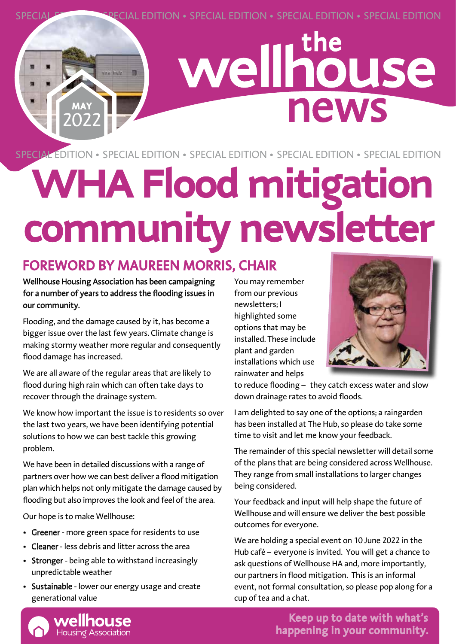SPECIAL EDITION • SPECIAL EDITION • SPECIAL EDITION • SPECIAL EDITION • SPECIAL EDITION

## wellhouse news

SPECIAL EDITION • SPECIAL EDITION • SPECIAL EDITION • SPECIAL EDITION • SPECIAL EDITION

## **WHA Flood mitigation community newsletter**

#### FOREWORD BY MAUREEN MORRIS, CHAIR

#### Wellhouse Housing Association has been campaigning for a number of years to address the flooding issues in our community.

MAY 2022 the buy

Flooding, and the damage caused by it, has become a bigger issue over the last few years. Climate change is making stormy weather more regular and consequently flood damage has increased.

We are all aware of the regular areas that are likely to flood during high rain which can often take days to recover through the drainage system.

We know how important the issue is to residents so over the last two years, we have been identifying potential solutions to how we can best tackle this growing problem.

We have been in detailed discussions with a range of partners over how we can best deliver a flood mitigation plan which helps not only mitigate the damage caused by flooding but also improves the look and feel of the area.

Our hope is to make Wellhouse:

- Greener more green space for residents to use
- Cleaner less debris and litter across the area
- Stronger being able to withstand increasingly unpredictable weather
- Sustainable lower our energy usage and create generational value

You may remember from our previous newsletters; I highlighted some options that may be installed. These include plant and garden installations which use rainwater and helps



to reduce flooding – they catch excess water and slow down drainage rates to avoid floods.

I am delighted to say one of the options; a raingarden has been installed at The Hub, so please do take some time to visit and let me know your feedback.

The remainder of this special newsletter will detail some of the plans that are being considered across Wellhouse. They range from small installations to larger changes being considered.

Your feedback and input will help shape the future of Wellhouse and will ensure we deliver the best possible outcomes for everyone.

We are holding a special event on 10 June 2022 in the Hub café – everyone is invited. You will get a chance to ask questions of Wellhouse HA and, more importantly, our partners in flood mitigation. This is an informal event, not formal consultation, so please pop along for a cup of tea and a chat.



Keep up to date with what's happening in your community.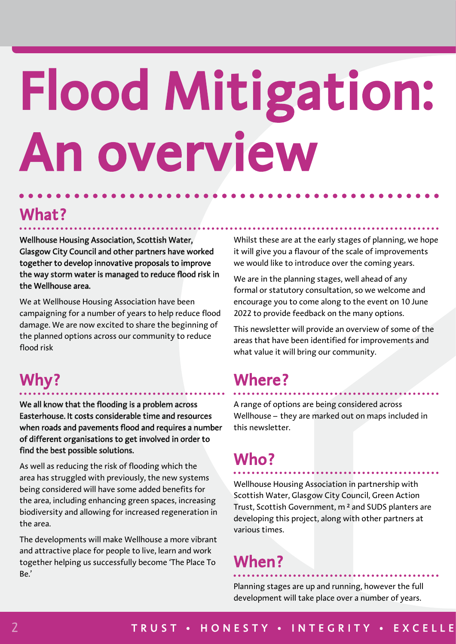## Flood Mitigation: An overview

### What?

Wellhouse Housing Association, Scottish Water, Glasgow City Council and other partners have worked together to develop innovative proposals to improve the way storm water is managed to reduce flood risk in the Wellhouse area.

We at Wellhouse Housing Association have been campaigning for a number of years to help reduce flood damage. We are now excited to share the beginning of the planned options across our community to reduce flood risk

### Why?

We all know that the flooding is a problem across Easterhouse. It costs considerable time and resources when roads and pavements flood and requires a number of different organisations to get involved in order to find the best possible solutions.

As well as reducing the risk of flooding which the area has struggled with previously, the new systems being considered will have some added benefits for the area, including enhancing green spaces, increasing biodiversity and allowing for increased regeneration in the area.

The developments will make Wellhouse a more vibrant and attractive place for people to live, learn and work together helping us successfully become 'The Place To Be.'

Whilst these are at the early stages of planning, we hope it will give you a flavour of the scale of improvements we would like to introduce over the coming years.

We are in the planning stages, well ahead of any formal or statutory consultation, so we welcome and encourage you to come along to the event on 10 June 2022 to provide feedback on the many options.

This newsletter will provide an overview of some of the areas that have been identified for improvements and what value it will bring our community.

### Where?

A range of options are being considered across Wellhouse – they are marked out on maps included in this newsletter.

### Who?

Wellhouse Housing Association in partnership with Scottish Water, Glasgow City Council, Green Action Trust, Scottish Government, m ² and SUDS planters are developing this project, along with other partners at various times.

### When?

Planning stages are up and running, however the full development will take place over a number of years.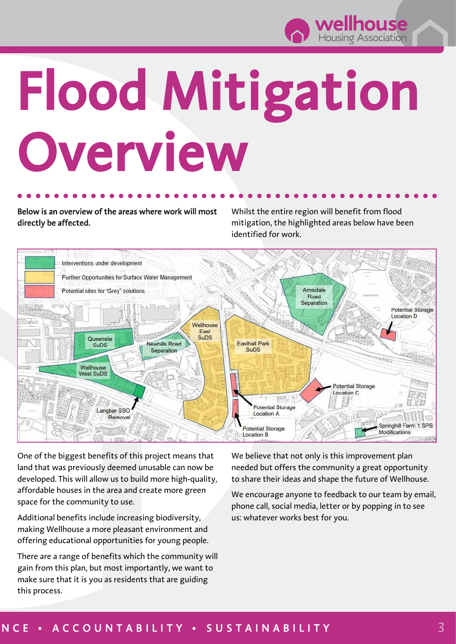

## Flood Mitigation Overview

Below is an overview of the areas where work will most directly be affected.

Whilst the entire region will benefit from flood mitigation, the highlighted areas below have been identified for work.



One of the biggest benefits of this project means that land that was previously deemed unusable can now be developed. This will allow us to build more high-quality, affordable houses in the area and create more green space for the community to use.

Additional benefits include increasing biodiversity, making Wellhouse a more pleasant environment and offering educational opportunities for young people.

There are a range of benefits which the community will gain from this plan, but most importantly, we want to make sure that it is you as residents that are guiding this process.

We believe that not only is this improvement plan needed but offers the community a great opportunity to share their ideas and shape the future of Wellhouse.

We encourage anyone to feedback to our team by email, phone call, social media, letter or by popping in to see us: whatever works best for you.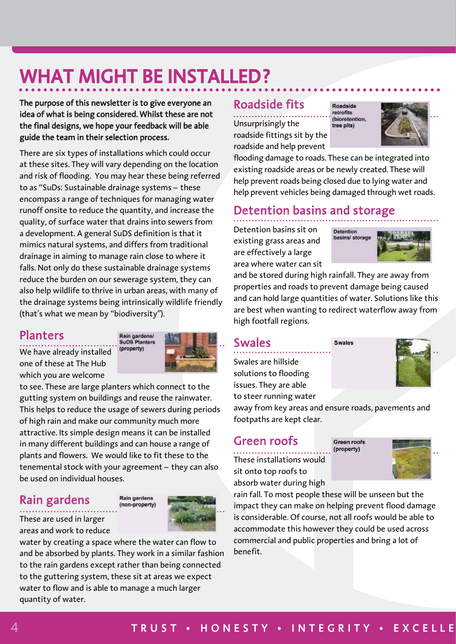## WHAT MIGHT BE INSTALLED?

The purpose of this newsletter is to give everyone an idea of what is being considered. Whilst these are not the final designs, we hope your feedback will be able guide the team in their selection process.

There are six types of installations which could occur at these sites. They will vary depending on the location and risk of flooding. You may hear these being referred to as "SuDs: Sustainable drainage systems – these encompass a range of techniques for managing water runoff onsite to reduce the quantity, and increase the quality, of surface water that drains into sewers from a development. A general SuDS definition is that it mimics natural systems, and differs from traditional drainage in aiming to manage rain close to where it falls. Not only do these sustainable drainage systems reduce the burden on our sewerage system, they can also help wildlife to thrive in urban areas, with many of the drainage systems being intrinsically wildlife friendly (that's what we mean by "biodiversity").

#### Planters

We have already installed one of these at The Hub which you are welcome



to see. These are large planters which connect to the gutting system on buildings and reuse the rainwater. This helps to reduce the usage of sewers during periods of high rain and make our community much more attractive. Its simple design means it can be installed in many different buildings and can house a range of plants and flowers. We would like to fit these to the tenemental stock with your agreement – they can also be used on individual houses.

#### Rain gardens





These are used in larger areas and work to reduce

water by creating a space where the water can flow to and be absorbed by plants. They work in a similar fashion to the rain gardens except rather than being connected to the guttering system, these sit at areas we expect water to flow and is able to manage a much larger quantity of water.

#### Roadside fits

Unsurprisingly the roadside fittings sit by the roadside and help prevent





flooding damage to roads. These can be integrated into existing roadside areas or be newly created. These will help prevent roads being closed due to lying water and help prevent vehicles being damaged through wet roads.

#### Detention basins and storage

Detention basins sit on existing grass areas and are effectively a large area where water can sit



and be stored during high rainfall. They are away from properties and roads to prevent damage being caused and can hold large quantities of water. Solutions like this are best when wanting to redirect waterflow away from high footfall regions.

**Swales** 

#### Swales

Swales are hillside solutions to flooding issues. They are able to steer running water

away from key areas and ensure roads, pavements and footpaths are kept clear.

#### Green roofs

These installations would sit onto top roofs to absorb water during high

Green roofs (property)



rain fall. To most people these will be unseen but the impact they can make on helping prevent flood damage is considerable. Of course, not all roofs would be able to accommodate this however they could be used across commercial and public properties and bring a lot of benefit.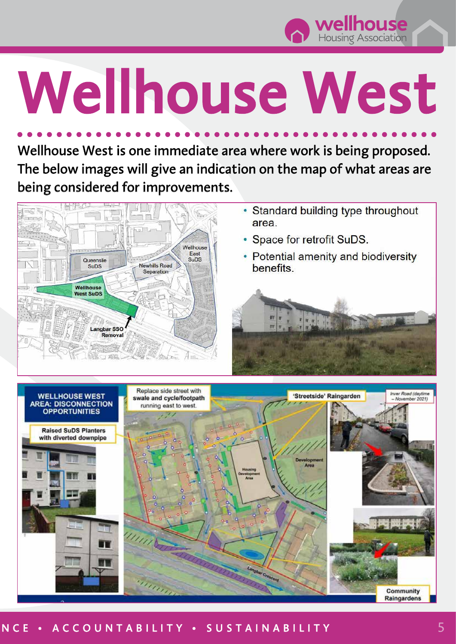

# Wellhouse West

Wellhouse West is one immediate area where work is being proposed. The below images will give an indication on the map of what areas are being considered for improvements.



- Standard building type throughout area
- Space for retrofit SuDS.
- Potential amenity and biodiversity benefits.





#### NCE • ACCOUNTABILITY • SUSTAINABILITY 5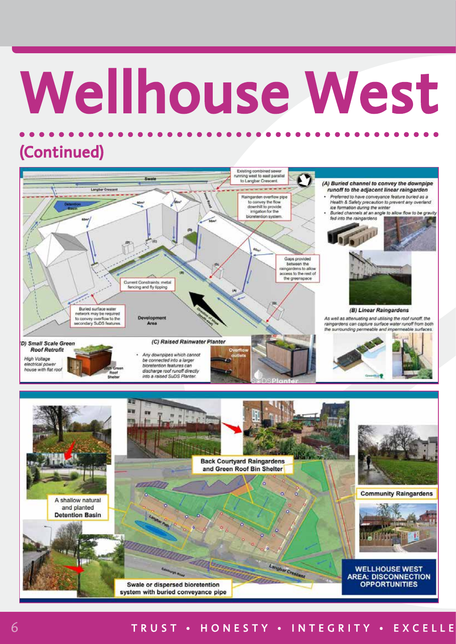# Wellhouse West

## (Continued)





#### 6 TRUST • HONESTY • INTEGRITY • EXCELLE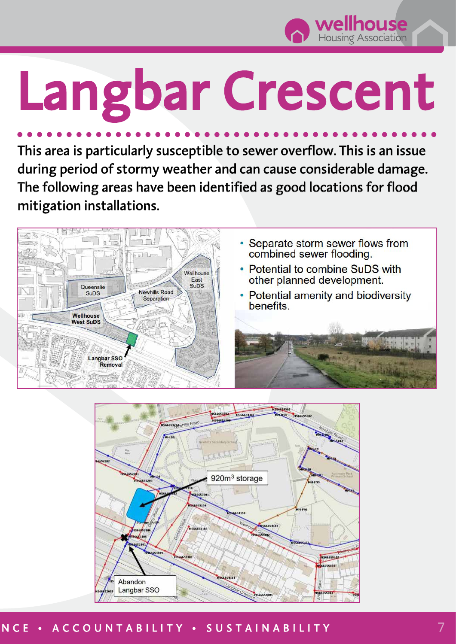

## Langbar Crescent

This area is particularly susceptible to sewer overflow. This is an issue during period of stormy weather and can cause considerable damage. The following areas have been identified as good locations for flood mitigation installations.





#### NCE • ACCOUNTABILITY • SUSTAINABILITY